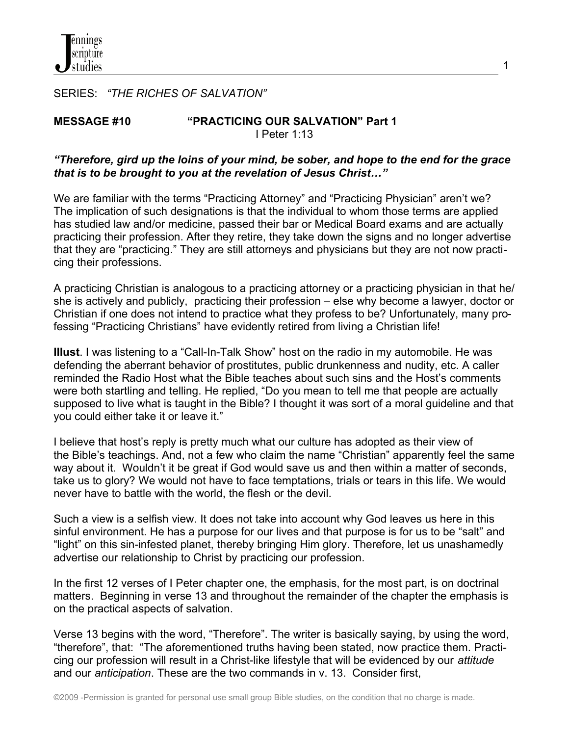SERIES: *"THE RICHES OF SALVATION"*

#### **MESSAGE #10 "PRACTICING OUR SALVATION" Part 1** I Peter 1:13

### *"Therefore, gird up the loins of your mind, be sober, and hope to the end for the grace that is to be brought to you at the revelation of Jesus Christ…"*

1

We are familiar with the terms "Practicing Attorney" and "Practicing Physician" aren't we? The implication of such designations is that the individual to whom those terms are applied has studied law and/or medicine, passed their bar or Medical Board exams and are actually practicing their profession. After they retire, they take down the signs and no longer advertise that they are "practicing." They are still attorneys and physicians but they are not now practicing their professions.

A practicing Christian is analogous to a practicing attorney or a practicing physician in that he/ she is actively and publicly, practicing their profession – else why become a lawyer, doctor or Christian if one does not intend to practice what they profess to be? Unfortunately, many professing "Practicing Christians" have evidently retired from living a Christian life!

**Illust**. I was listening to a "Call-In-Talk Show" host on the radio in my automobile. He was defending the aberrant behavior of prostitutes, public drunkenness and nudity, etc. A caller reminded the Radio Host what the Bible teaches about such sins and the Host's comments were both startling and telling. He replied, "Do you mean to tell me that people are actually supposed to live what is taught in the Bible? I thought it was sort of a moral guideline and that you could either take it or leave it."

I believe that host's reply is pretty much what our culture has adopted as their view of the Bible's teachings. And, not a few who claim the name "Christian" apparently feel the same way about it. Wouldn't it be great if God would save us and then within a matter of seconds, take us to glory? We would not have to face temptations, trials or tears in this life. We would never have to battle with the world, the flesh or the devil.

Such a view is a selfish view. It does not take into account why God leaves us here in this sinful environment. He has a purpose for our lives and that purpose is for us to be "salt" and "light" on this sin-infested planet, thereby bringing Him glory. Therefore, let us unashamedly advertise our relationship to Christ by practicing our profession.

In the first 12 verses of I Peter chapter one, the emphasis, for the most part, is on doctrinal matters. Beginning in verse 13 and throughout the remainder of the chapter the emphasis is on the practical aspects of salvation.

Verse 13 begins with the word, "Therefore". The writer is basically saying, by using the word, "therefore", that: "The aforementioned truths having been stated, now practice them. Practicing our profession will result in a Christ-like lifestyle that will be evidenced by our *attitude* and our *anticipation*. These are the two commands in v. 13. Consider first,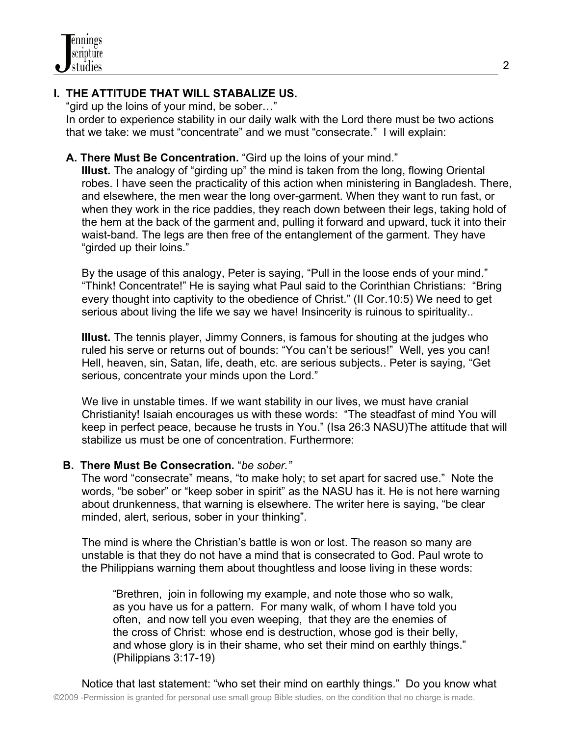# **I. THE ATTITUDE THAT WILL STABALIZE US.**

"gird up the loins of your mind, be sober…"

 In order to experience stability in our daily walk with the Lord there must be two actions that we take: we must "concentrate" and we must "consecrate." I will explain:

## **A. There Must Be Concentration.** "Gird up the loins of your mind."

**Illust.** The analogy of "girding up" the mind is taken from the long, flowing Oriental robes. I have seen the practicality of this action when ministering in Bangladesh. There, and elsewhere, the men wear the long over-garment. When they want to run fast, or when they work in the rice paddies, they reach down between their legs, taking hold of the hem at the back of the garment and, pulling it forward and upward, tuck it into their waist-band. The legs are then free of the entanglement of the garment. They have "girded up their loins."

 By the usage of this analogy, Peter is saying, "Pull in the loose ends of your mind." "Think! Concentrate!" He is saying what Paul said to the Corinthian Christians: "Bring every thought into captivity to the obedience of Christ." (II Cor.10:5) We need to get serious about living the life we say we have! Insincerity is ruinous to spirituality..

 **Illust.** The tennis player, Jimmy Conners, is famous for shouting at the judges who ruled his serve or returns out of bounds: "You can't be serious!" Well, yes you can! Hell, heaven, sin, Satan, life, death, etc. are serious subjects.. Peter is saying, "Get serious, concentrate your minds upon the Lord."

 We live in unstable times. If we want stability in our lives, we must have cranial Christianity! Isaiah encourages us with these words: "The steadfast of mind You will keep in perfect peace, because he trusts in You." (Isa 26:3 NASU)The attitude that will stabilize us must be one of concentration. Furthermore:

### **B. There Must Be Consecration.** "*be sober."*

The word "consecrate" means, "to make holy; to set apart for sacred use." Note the words, "be sober" or "keep sober in spirit" as the NASU has it. He is not here warning about drunkenness, that warning is elsewhere. The writer here is saying, "be clear minded, alert, serious, sober in your thinking".

 The mind is where the Christian's battle is won or lost. The reason so many are unstable is that they do not have a mind that is consecrated to God. Paul wrote to the Philippians warning them about thoughtless and loose living in these words:

 "Brethren, join in following my example, and note those who so walk, as you have us for a pattern. For many walk, of whom I have told you often, and now tell you even weeping, that they are the enemies of the cross of Christ: whose end is destruction, whose god is their belly, and whose glory is in their shame, who set their mind on earthly things." (Philippians 3:17-19)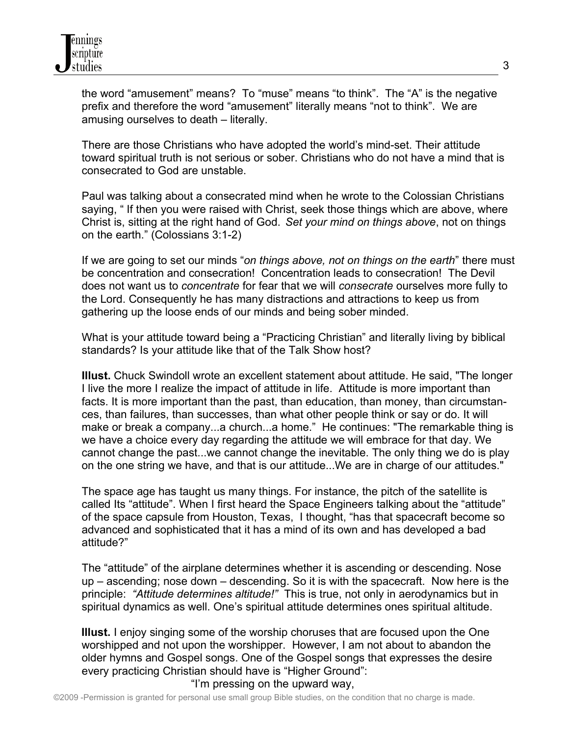the word "amusement" means? To "muse" means "to think". The "A" is the negative prefix and therefore the word "amusement" literally means "not to think". We are amusing ourselves to death – literally.

 There are those Christians who have adopted the world's mind-set. Their attitude toward spiritual truth is not serious or sober. Christians who do not have a mind that is consecrated to God are unstable.

 Paul was talking about a consecrated mind when he wrote to the Colossian Christians saying, " If then you were raised with Christ, seek those things which are above, where Christ is, sitting at the right hand of God. *Set your mind on things above*, not on things on the earth." (Colossians 3:1-2)

 If we are going to set our minds "*on things above, not on things on the earth*" there must be concentration and consecration! Concentration leads to consecration! The Devil does not want us to *concentrate* for fear that we will *consecrate* ourselves more fully to the Lord. Consequently he has many distractions and attractions to keep us from gathering up the loose ends of our minds and being sober minded.

 What is your attitude toward being a "Practicing Christian" and literally living by biblical standards? Is your attitude like that of the Talk Show host?

 **Illust.** Chuck Swindoll wrote an excellent statement about attitude. He said, "The longer I live the more I realize the impact of attitude in life. Attitude is more important than facts. It is more important than the past, than education, than money, than circumstan ces, than failures, than successes, than what other people think or say or do. It will make or break a company...a church...a home." He continues: "The remarkable thing is we have a choice every day regarding the attitude we will embrace for that day. We cannot change the past...we cannot change the inevitable. The only thing we do is play on the one string we have, and that is our attitude...We are in charge of our attitudes."

 The space age has taught us many things. For instance, the pitch of the satellite is called Its "attitude". When I first heard the Space Engineers talking about the "attitude" of the space capsule from Houston, Texas, I thought, "has that spacecraft become so advanced and sophisticated that it has a mind of its own and has developed a bad attitude?"

 The "attitude" of the airplane determines whether it is ascending or descending. Nose up – ascending; nose down – descending. So it is with the spacecraft. Now here is the principle: *"Attitude determines altitude!"* This is true, not only in aerodynamics but in spiritual dynamics as well. One's spiritual attitude determines ones spiritual altitude.

 **Illust.** I enjoy singing some of the worship choruses that are focused upon the One worshipped and not upon the worshipper. However, I am not about to abandon the older hymns and Gospel songs. One of the Gospel songs that expresses the desire every practicing Christian should have is "Higher Ground":

#### "I'm pressing on the upward way,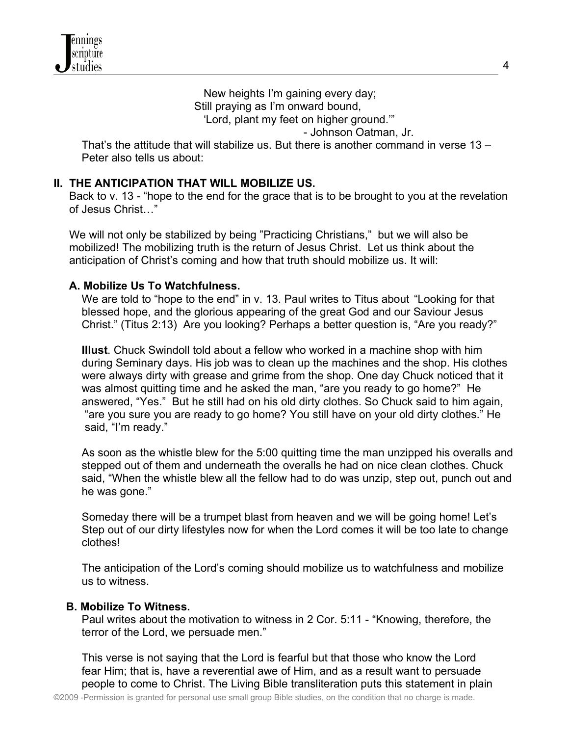New heights I'm gaining every day; Still praying as I'm onward bound, 'Lord, plant my feet on higher ground.'" - Johnson Oatman, Jr.

 That's the attitude that will stabilize us. But there is another command in verse 13 – Peter also tells us about:

## **II. THE ANTICIPATION THAT WILL MOBILIZE US.**

 Back to v. 13 - "hope to the end for the grace that is to be brought to you at the revelation of Jesus Christ…"

 We will not only be stabilized by being "Practicing Christians," but we will also be mobilized! The mobilizing truth is the return of Jesus Christ. Let us think about the anticipation of Christ's coming and how that truth should mobilize us. It will:

## **A. Mobilize Us To Watchfulness.**

We are told to "hope to the end" in v. 13. Paul writes to Titus about "Looking for that blessed hope, and the glorious appearing of the great God and our Saviour Jesus Christ." (Titus 2:13) Are you looking? Perhaps a better question is, "Are you ready?"

 **Illust**. Chuck Swindoll told about a fellow who worked in a machine shop with him during Seminary days. His job was to clean up the machines and the shop. His clothes were always dirty with grease and grime from the shop. One day Chuck noticed that it was almost quitting time and he asked the man, "are you ready to go home?" He answered, "Yes." But he still had on his old dirty clothes. So Chuck said to him again, "are you sure you are ready to go home? You still have on your old dirty clothes." He said, "I'm ready."

 As soon as the whistle blew for the 5:00 quitting time the man unzipped his overalls and stepped out of them and underneath the overalls he had on nice clean clothes. Chuck said, "When the whistle blew all the fellow had to do was unzip, step out, punch out and he was gone."

 Someday there will be a trumpet blast from heaven and we will be going home! Let's Step out of our dirty lifestyles now for when the Lord comes it will be too late to change clothes!

 The anticipation of the Lord's coming should mobilize us to watchfulness and mobilize us to witness.

### **B. Mobilize To Witness.**

 Paul writes about the motivation to witness in 2 Cor. 5:11 - "Knowing, therefore, the terror of the Lord, we persuade men."

 This verse is not saying that the Lord is fearful but that those who know the Lord fear Him; that is, have a reverential awe of Him, and as a result want to persuade people to come to Christ. The Living Bible transliteration puts this statement in plain